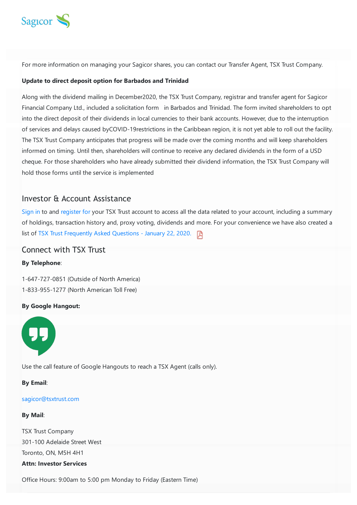

For more information on managing your Sagicor shares, you can contact our Transfer Agent, TSX Trust Company.

#### **Update to direct deposit option for Barbados and Trinidad**

Along with the dividend mailing in December2020, the TSX Trust Company, registrar and transfer agent for Sagicor Financial Company Ltd., included a solicitation form in Barbados and Trinidad. The form invited shareholders to opt into the direct deposit of their dividends in local currencies to their bank accounts. However, due to the interruption of services and delays caused byCOVID-19restrictions in the Caribbean region, it is not yet able to roll out the facility. The TSX Trust Company anticipates that progress will be made over the coming months and will keep shareholders informed on timing. Until then, shareholders will continue to receive any declared dividends in the form of a USD cheque. For those shareholders who have already submitted their dividend information, the TSX Trust Company will hold those forms until the service is implemented

### Investor & Account Assistance

[Sign](https://reportsonline.tsxtrust.com/hlogin?lang=en#) in to and [register](https://www.sagicor.com/-/media/PDFs/TSX-Trust/TSXT---Investor-Insite-Registration-Sagicor2.pdf?la=en&hash=39129E2FBC78094ED68FE6C1514C2A3473B8F533) for your TSX Trust account to access all the data related to your account, including a summary of holdings, transaction history and, proxy voting, dividends and more. For your convenience we have also created a list of TSX Trust [Frequently](https://www.sagicor.com/-/media/PDFs/SFC/Shareholder-Documents/TSX-Trust-FAQs.pdf?la=en&hash=A11C7BAB0EBDCD7DD863D4F9EAFC6CA2369782AD) Asked Questions - January 22, 2020.

## Connect with TSX Trust

#### **By Telephone**:

1-647-727-0851 (Outside of North America) 1-833-955-1277 (North American Toll Free)

#### **By Google Hangout:**



Use the call feature of Google Hangouts to reach a TSX Agent (calls only).

#### **By Email**:

#### [sagicor@tsxtrust.com](mailto:sagicor@tsxtrust.com)

#### **By Mail**:

TSX Trust Company 301-100 Adelaide Street West Toronto, ON, M5H 4H1 **Attn: Investor Services**

Office Hours: 9:00am to 5:00 pm Monday to Friday (Eastern Time)